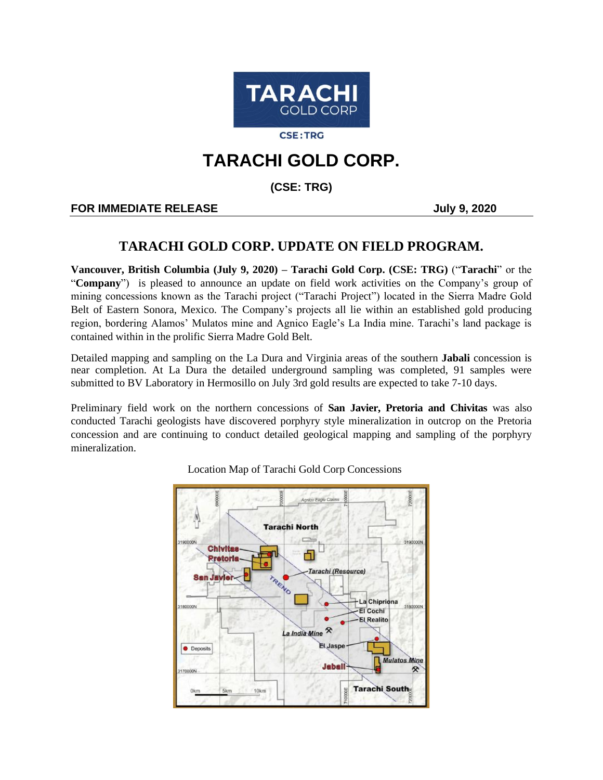

**CSE:TRG** 

# **TARACHI GOLD CORP.**

**(CSE: TRG)**

### **FOR IMMEDIATE RELEASE AND SEXUAL SERVICE SERVICE SERVICE SERVICE SERVICE SERVICE SERVICE SERVICE SERVICE SERVICE**

## **TARACHI GOLD CORP. UPDATE ON FIELD PROGRAM.**

**Vancouver, British Columbia (July 9, 2020) – Tarachi Gold Corp. (CSE: TRG)** ("**Tarachi**" or the "**Company**") is pleased to announce an update on field work activities on the Company's group of mining concessions known as the Tarachi project ("Tarachi Project") located in the Sierra Madre Gold Belt of Eastern Sonora, Mexico. The Company's projects all lie within an established gold producing region, bordering Alamos' Mulatos mine and Agnico Eagle's La India mine. Tarachi's land package is contained within in the prolific Sierra Madre Gold Belt.

Detailed mapping and sampling on the La Dura and Virginia areas of the southern **Jabali** concession is near completion. At La Dura the detailed underground sampling was completed, 91 samples were submitted to BV Laboratory in Hermosillo on July 3rd gold results are expected to take 7-10 days.

Preliminary field work on the northern concessions of **San Javier, Pretoria and Chivitas** was also conducted Tarachi geologists have discovered porphyry style mineralization in outcrop on the Pretoria concession and are continuing to conduct detailed geological mapping and sampling of the porphyry mineralization.



Location Map of Tarachi Gold Corp Concessions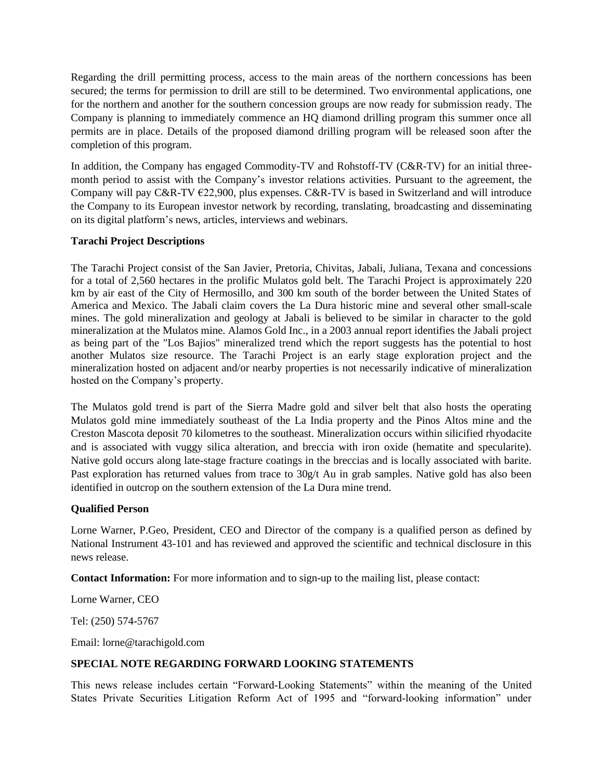Regarding the drill permitting process, access to the main areas of the northern concessions has been secured; the terms for permission to drill are still to be determined. Two environmental applications, one for the northern and another for the southern concession groups are now ready for submission ready. The Company is planning to immediately commence an HQ diamond drilling program this summer once all permits are in place. Details of the proposed diamond drilling program will be released soon after the completion of this program.

In addition, the Company has engaged Commodity-TV and Rohstoff-TV (C&R-TV) for an initial threemonth period to assist with the Company's investor relations activities. Pursuant to the agreement, the Company will pay C&R-TV  $\epsilon$ 22,900, plus expenses. C&R-TV is based in Switzerland and will introduce the Company to its European investor network by recording, translating, broadcasting and disseminating on its digital platform's news, articles, interviews and webinars.

#### **Tarachi Project Descriptions**

The Tarachi Project consist of the San Javier, Pretoria, Chivitas, Jabali, Juliana, Texana and concessions for a total of 2,560 hectares in the prolific Mulatos gold belt. The Tarachi Project is approximately 220 km by air east of the City of Hermosillo, and 300 km south of the border between the United States of America and Mexico. The Jabali claim covers the La Dura historic mine and several other small-scale mines. The gold mineralization and geology at Jabali is believed to be similar in character to the gold mineralization at the Mulatos mine. Alamos Gold Inc., in a 2003 annual report identifies the Jabali project as being part of the "Los Bajios" mineralized trend which the report suggests has the potential to host another Mulatos size resource. The Tarachi Project is an early stage exploration project and the mineralization hosted on adjacent and/or nearby properties is not necessarily indicative of mineralization hosted on the Company's property.

The Mulatos gold trend is part of the Sierra Madre gold and silver belt that also hosts the operating Mulatos gold mine immediately southeast of the La India property and the Pinos Altos mine and the Creston Mascota deposit 70 kilometres to the southeast. Mineralization occurs within silicified rhyodacite and is associated with vuggy silica alteration, and breccia with iron oxide (hematite and specularite). Native gold occurs along late-stage fracture coatings in the breccias and is locally associated with barite. Past exploration has returned values from trace to 30g/t Au in grab samples. Native gold has also been identified in outcrop on the southern extension of the La Dura mine trend.

#### **Qualified Person**

Lorne Warner, P.Geo, President, CEO and Director of the company is a qualified person as defined by National Instrument 43-101 and has reviewed and approved the scientific and technical disclosure in this news release.

**Contact Information:** For more information and to sign-up to the mailing list, please contact:

Lorne Warner, CEO

Tel: (250) 574-5767

Email: lorne@tarachigold.com

#### **SPECIAL NOTE REGARDING FORWARD LOOKING STATEMENTS**

This news release includes certain "Forward‐Looking Statements" within the meaning of the United States Private Securities Litigation Reform Act of 1995 and "forward-looking information" under